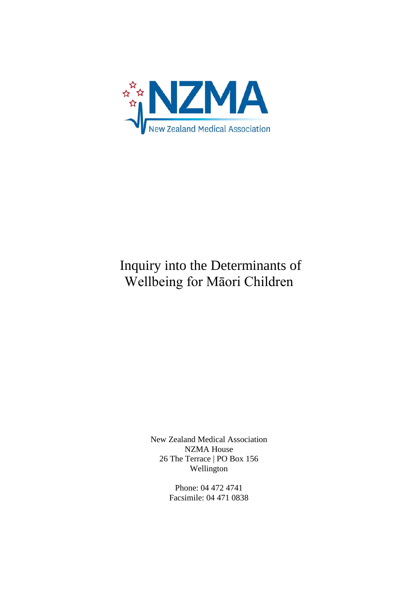

# Inquiry into the Determinants of Wellbeing for Māori Children

New Zealand Medical Association NZMA House 26 The Terrace | PO Box 156 Wellington

> Phone: 04 472 4741 Facsimile: 04 471 0838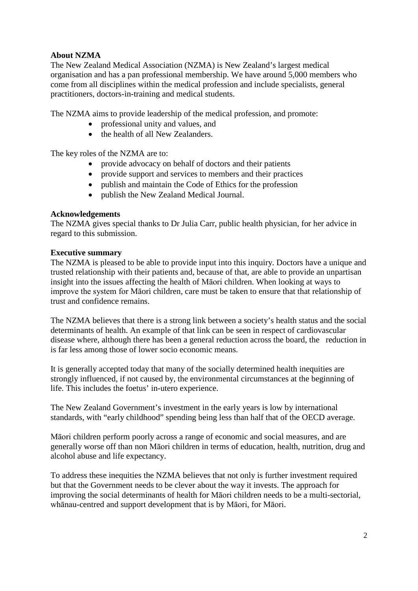## **About NZMA**

The New Zealand Medical Association (NZMA) is New Zealand's largest medical organisation and has a pan professional membership. We have around 5,000 members who come from all disciplines within the medical profession and include specialists, general practitioners, doctors-in-training and medical students.

The NZMA aims to provide leadership of the medical profession, and promote:

- professional unity and values, and
- the health of all New Zealanders.

The key roles of the NZMA are to:

- provide advocacy on behalf of doctors and their patients
- provide support and services to members and their practices
- publish and maintain the Code of Ethics for the profession
- publish the New Zealand Medical Journal.

#### **Acknowledgements**

The NZMA gives special thanks to Dr Julia Carr, public health physician, for her advice in regard to this submission.

#### **Executive summary**

The NZMA is pleased to be able to provide input into this inquiry. Doctors have a unique and trusted relationship with their patients and, because of that, are able to provide an unpartisan insight into the issues affecting the health of Māori children. When looking at ways to improve the system for Māori children, care must be taken to ensure that that relationship of trust and confidence remains.

The NZMA believes that there is a strong link between a society's health status and the social determinants of health. An example of that link can be seen in respect of cardiovascular disease where, although there has been a general reduction across the board, the reduction in is far less among those of lower socio economic means.

It is generally accepted today that many of the socially determined health inequities are strongly influenced, if not caused by, the environmental circumstances at the beginning of life. This includes the foetus' in-utero experience.

The New Zealand Government's investment in the early years is low by international standards, with "early childhood" spending being less than half that of the OECD average.

Māori children perform poorly across a range of economic and social measures, and are generally worse off than non Māori children in terms of education, health, nutrition, drug and alcohol abuse and life expectancy.

To address these inequities the NZMA believes that not only is further investment required but that the Government needs to be clever about the way it invests. The approach for improving the social determinants of health for Māori children needs to be a multi-sectorial, whānau-centred and support development that is by Māori, for Māori.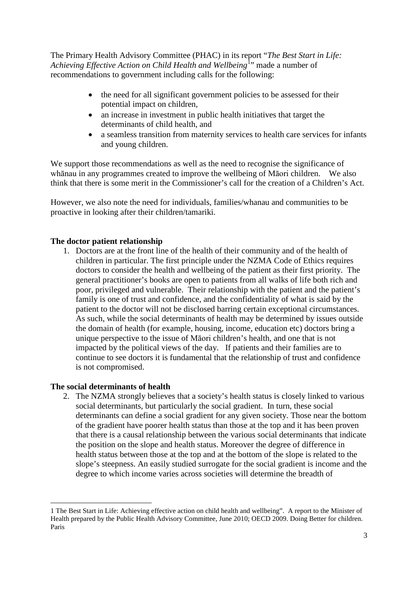The Primary Health Advisory Committee (PHAC) in its report "*The Best Start in Life:*  Achieving Effective Action on Child Health and Wellbeing<sup>[1](#page-2-0)</sup>" made a number of recommendations to government including calls for the following:

- the need for all significant government policies to be assessed for their potential impact on children,
- an increase in investment in public health initiatives that target the determinants of child health, and
- a seamless transition from maternity services to health care services for infants and young children.

We support those recommendations as well as the need to recognise the significance of whānau in any programmes created to improve the wellbeing of Māori children. We also think that there is some merit in the Commissioner's call for the creation of a Children's Act.

However, we also note the need for individuals, families/whanau and communities to be proactive in looking after their children/tamariki.

## **The doctor patient relationship**

1. Doctors are at the front line of the health of their community and of the health of children in particular. The first principle under the NZMA Code of Ethics requires doctors to consider the health and wellbeing of the patient as their first priority. The general practitioner's books are open to patients from all walks of life both rich and poor, privileged and vulnerable. Their relationship with the patient and the patient's family is one of trust and confidence, and the confidentiality of what is said by the patient to the doctor will not be disclosed barring certain exceptional circumstances. As such, while the social determinants of health may be determined by issues outside the domain of health (for example, housing, income, education etc) doctors bring a unique perspective to the issue of Māori children's health, and one that is not impacted by the political views of the day. If patients and their families are to continue to see doctors it is fundamental that the relationship of trust and confidence is not compromised.

#### **The social determinants of health**

1

2. The NZMA strongly believes that a society's health status is closely linked to various social determinants, but particularly the social gradient. In turn, these social determinants can define a social gradient for any given society. Those near the bottom of the gradient have poorer health status than those at the top and it has been proven that there is a causal relationship between the various social determinants that indicate the position on the slope and health status. Moreover the degree of difference in health status between those at the top and at the bottom of the slope is related to the slope's steepness. An easily studied surrogate for the social gradient is income and the degree to which income varies across societies will determine the breadth of

<span id="page-2-0"></span><sup>1</sup> The Best Start in Life: Achieving effective action on child health and wellbeing". A report to the Minister of Health prepared by the Public Health Advisory Committee, June 2010; OECD 2009. Doing Better for children. Paris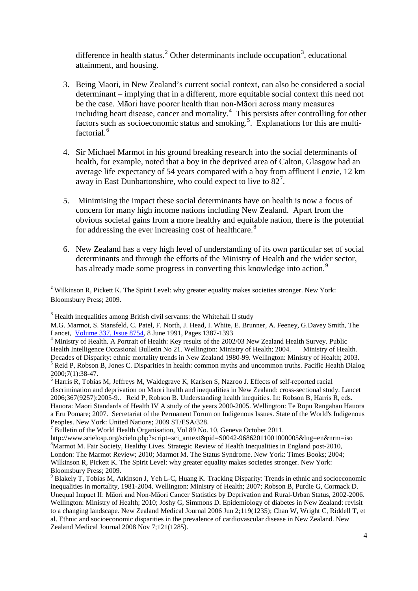difference in health status.<sup>[2](#page-3-0)</sup> Other determinants include occupation<sup>[3](#page-3-1)</sup>, educational attainment, and housing.

- 3. Being Maori, in New Zealand's current social context, can also be considered a social determinant – implying that in a different, more equitable social context this need not be the case. Māori have poorer health than non-Māori across many measures including heart disease, cancer and mortality.<sup>[4](#page-3-2)</sup> This persists after controlling for other factors such as socioeconomic status and smoking.<sup>[5](#page-3-3)</sup>. Explanations for this are multi-factorial.<sup>[6](#page-3-4)</sup>
- 4. Sir Michael Marmot in his ground breaking research into the social determinants of health, for example, noted that a boy in the deprived area of Calton, Glasgow had an average life expectancy of 54 years compared with a boy from affluent Lenzie, 12 km away in East Dunbartonshire, who could expect to live to 82<sup>[7](#page-3-5)</sup>.
- 5. Minimising the impact these social determinants have on health is now a focus of concern for many high income nations including New Zealand. Apart from the obvious societal gains from a more healthy and equitable nation, there is the potential for addressing the ever increasing cost of healthcare.<sup>[8](#page-3-6)</sup>
- 6. New Zealand has a very high level of understanding of its own particular set of social determinants and through the efforts of the Ministry of Health and the wider sector, has already made some progress in converting this knowledge into action.<sup>[9](#page-3-7)</sup>

<span id="page-3-0"></span><sup>&</sup>lt;sup>2</sup> Wilkinson R, Pickett K. The Spirit Level: why greater equality makes societies stronger. New York: Bloomsbury Press; 2009.

<span id="page-3-1"></span><sup>&</sup>lt;sup>3</sup> Health inequalities among British civil servants: the Whitehall II study

M.G. Marmot, S. Stansfeld, C. Patel, F. North, J. Head, I. White, E. Brunner, A. Feeney, G.Davey Smith, The

<span id="page-3-2"></span>Lancet, *Volume 337*, Issue 8754, 8 June 1991, Pages 1387-1393<br>
<sup>4</sup> Ministry of Health. A Portrait of Health: Key results of the 2002/03 New Zealand Health Survey. Public<br>
Health Intelligence Occasional Bulletin No 21. Wel Health Intelligence Occasional Bulletin No 21. Wellington: Ministry of Health; 2004. Ministry of Health.<br>Decades of Disparity: ethnic mortality trends in New Zealand 1980-99. Wellington: Ministry of Health; 2003. <sup>5</sup> Reid P, Robson B, Jones C. Disparities in health: common myths and uncommon truths. Pacific Health Dialog  $2000:7(1):38-47$ .

<span id="page-3-4"></span><span id="page-3-3"></span> $6$  Harris R, Tobias M, Jeffreys M, Waldegrave K, Karlsen S, Nazroo J. Effects of self-reported racial discrimination and deprivation on Maori health and inequalities in New Zealand: cross-sectional study. Lancet 2006;367(9257):2005-9.. Reid P, Robson B. Understanding health inequities. In: Robson B, Harris R, eds. Hauora: Maori Standards of Health IV A study of the years 2000-2005. Wellington: Te Ropu Rangahau Hauora a Eru Pomare; 2007. Secretariat of the Permanent Forum on Indigenous Issues. State of the World's Indigenous Peoples. New York: United Nations: 2009 ST/ESA/328.

<sup>&</sup>lt;sup>7</sup> Bulletin of the World Health Organisation, Vol 89 No. 10, Geneva October 2011.

<span id="page-3-6"></span><span id="page-3-5"></span>http://www.scielosp.org/scielo.php?script=sci\_arttext&pid=S0042-96862011001000005&lng=en&nrm=iso 8 <sup>8</sup>Marmot M. Fair Society, Healthy Lives. Strategic Review of Health Inequalities in England post-2010, London: The Marmot Review; 2010; Marmot M. The Status Syndrome. New York: Times Books; 2004; Wilkinson R, Pickett K. The Spirit Level: why greater equality makes societies stronger. New York: Bloomsbury Press; 2009.<br><sup>9</sup> Blakely T, Tobias M, Atkinson J, Yeh L-C, Huang K. Tracking Disparity: Trends in ethnic and socioeconomic

<span id="page-3-7"></span>inequalities in mortality, 1981-2004. Wellington: Ministry of Health; 2007; Robson B, Purdie G, Cormack D. Unequal Impact II: Māori and Non-Māori Cancer Statistics by Deprivation and Rural-Urban Status, 2002-2006. Wellington: Ministry of Health; 2010; Joshy G, Simmons D. Epidemiology of diabetes in New Zealand: revisit to a changing landscape. New Zealand Medical Journal 2006 Jun 2;119(1235); Chan W, Wright C, Riddell T, et al. Ethnic and socioeconomic disparities in the prevalence of cardiovascular disease in New Zealand. New Zealand Medical Journal 2008 Nov 7;121(1285).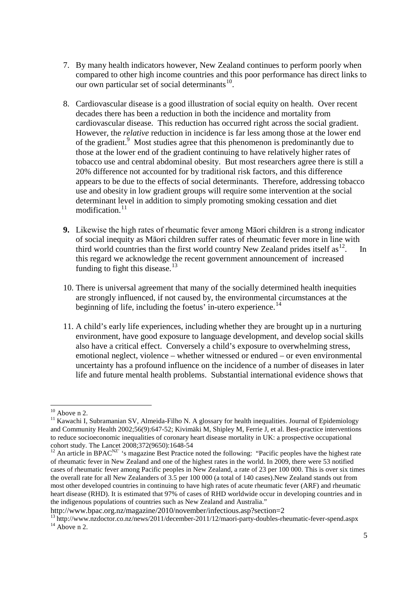- 7. By many health indicators however, New Zealand continues to perform poorly when compared to other high income countries and this poor performance has direct links to our own particular set of social determinants<sup>10</sup>.
- 8. Cardiovascular disease is a good illustration of social equity on health. Over recent decades there has been a reduction in both the incidence and mortality from cardiovascular disease. This reduction has occurred right across the social gradient. However, the *relative* reduction in incidence is far less among those at the lower end of the gradient.<sup>9</sup> Most studies agree that this phenomenon is predominantly due to those at the lower end of the gradient continuing to have relatively higher rates of tobacco use and central abdominal obesity. But most researchers agree there is still a 20% difference not accounted for by traditional risk factors, and this difference appears to be due to the effects of social determinants. Therefore, addressing tobacco use and obesity in low gradient groups will require some intervention at the social determinant level in addition to simply promoting smoking cessation and diet modification $11$
- **9.** Likewise the high rates of rheumatic fever among Māori children is a strong indicator of social inequity as Māori children suffer rates of rheumatic fever more in line with third world countries than the first world country New Zealand prides itself as  $12$ . In this regard we acknowledge the recent government announcement of increased funding to fight this disease.<sup>[13](#page-4-3)</sup>
- 10. There is universal agreement that many of the socially determined health inequities are strongly influenced, if not caused by, the environmental circumstances at the beginning of life, including the foetus' in-utero experience.<sup>[14](#page-4-4)</sup>
- 11. A child's early life experiences, including whether they are brought up in a nurturing environment, have good exposure to language development, and develop social skills also have a critical effect. Conversely a child's exposure to overwhelming stress, emotional neglect, violence – whether witnessed or endured – or even environmental uncertainty has a profound influence on the incidence of a number of diseases in later life and future mental health problems. Substantial international evidence shows that

<span id="page-4-1"></span><span id="page-4-0"></span><sup>&</sup>lt;sup>10</sup> Above n 2.<br><sup>11</sup> Kawachi I, Subramanian SV, Almeida-Filho N. A glossary for health inequalities. Journal of Epidemiology and Community Health 2002;56(9):647-52; Kivimäki M, Shipley M, Ferrie J, et al. Best-practice interventions to reduce socioeconomic inequalities of coronary heart disease mortality in UK: a prospective occupational cohort study. The Lancet 2008;372(9650):1648-54<br><sup>12</sup> An article in BPAC<sup>NZ'</sup> 's magazine Best Practice noted the following: "Pacific peoples have the highest rate

<span id="page-4-2"></span>of rheumatic fever in New Zealand and one of the highest rates in the world. In 2009, there were 53 notified cases of rheumatic fever among Pacific peoples in New Zealand, a rate of 23 per 100 000. This is over six times the overall rate for all New Zealanders of 3.5 per 100 000 (a total of 140 cases).New Zealand stands out from most other developed countries in continuing to have high rates of acute rheumatic fever (ARF) and rheumatic heart disease (RHD). It is estimated that 97% of cases of RHD worldwide occur in developing countries and in the indigenous populations of countries such as New Zealand and Australia."

<http://www.bpac.org.nz/magazine/2010/november/infectious.asp?section=2>

<span id="page-4-4"></span><span id="page-4-3"></span> $13 \text{ http://www.nzdoctor.co.nz/news/2011/december-2011/12/maori-party-doubles-rheumatic-fever-spend.aspx 14 Above n 2.}$  $13 \text{ http://www.nzdoctor.co.nz/news/2011/december-2011/12/maori-party-doubles-rheumatic-fever-spend.aspx 14 Above n 2.}$  $13 \text{ http://www.nzdoctor.co.nz/news/2011/december-2011/12/maori-party-doubles-rheumatic-fever-spend.aspx 14 Above n 2.}$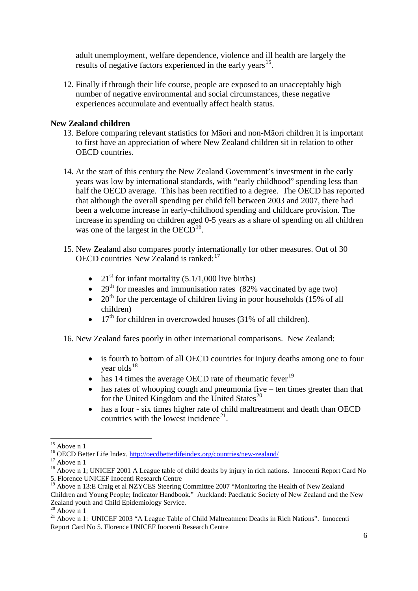adult unemployment, welfare dependence, violence and ill health are largely the results of negative factors experienced in the early years<sup>15</sup>.

12. Finally if through their life course, people are exposed to an unacceptably high number of negative environmental and social circumstances, these negative experiences accumulate and eventually affect health status.

## **New Zealand children**

- 13. Before comparing relevant statistics for Māori and non-Māori children it is important to first have an appreciation of where New Zealand children sit in relation to other OECD countries.
- 14. At the start of this century the New Zealand Government's investment in the early years was low by international standards, with "early childhood" spending less than half the OECD average. This has been rectified to a degree. The OECD has reported that although the overall spending per child fell between 2003 and 2007, there had been a welcome increase in early-childhood spending and childcare provision. The increase in spending on children aged 0-5 years as a share of spending on all children was one of the largest in the  $OECD<sup>16</sup>$  $OECD<sup>16</sup>$  $OECD<sup>16</sup>$ .
- 15. New Zealand also compares poorly internationally for other measures. Out of 30 OECD countries New Zealand is ranked:<sup>[17](#page-5-2)</sup>
	- 21<sup>st</sup> for infant mortality  $(5.1/1,000$  live births)
	- 29<sup>th</sup> for measles and immunisation rates (82% vaccinated by age two)
	- 20<sup>th</sup> for the percentage of children living in poor households (15% of all children)
	- $17<sup>th</sup>$  for children in overcrowded houses (31% of all children).
- 16. New Zealand fares poorly in other international comparisons. New Zealand:
	- is fourth to bottom of all OECD countries for injury deaths among one to four vear olds $18$
	- $\bullet$  has 14 times the average OECD rate of rheumatic fever<sup>[19](#page-5-4)</sup>
	- has rates of whooping cough and pneumonia five ten times greater than that for the United Kingdom and the United States<sup>[20](#page-5-5)</sup>
	- has a four six times higher rate of child maltreatment and death than OECD countries with the lowest incidence<sup>[21](#page-5-6)</sup>.

<span id="page-5-0"></span><sup>&</sup>lt;sup>15</sup> Above n 1<br><sup>16</sup> OECD Better Life Index. http://oecdbetterlifeindex.org/countries/new-zealand/

<span id="page-5-3"></span><span id="page-5-2"></span><span id="page-5-1"></span><sup>&</sup>lt;sup>17</sup> Above n 1; UNICEF 2001 A League table of child deaths by injury in rich nations. Innocenti Report Card No  $^{18}$ 5. Florence UNICEF Inocenti Research Centre

<span id="page-5-4"></span><sup>&</sup>lt;sup>19</sup> Above n 13:E Craig et al NZYCES Steering Committee 2007 "Monitoring the Health of New Zealand Children and Young People; Indicator Handbook." Auckland: Paediatric Society of New Zealand and the New Zealand youth and Child Epidemiology Service.<br><sup>20</sup> Above n 1

<span id="page-5-6"></span><span id="page-5-5"></span><sup>&</sup>lt;sup>21</sup> Above n 1: UNICEF 2003 "A League Table of Child Maltreatment Deaths in Rich Nations". Innocenti Report Card No 5. Florence UNICEF Inocenti Research Centre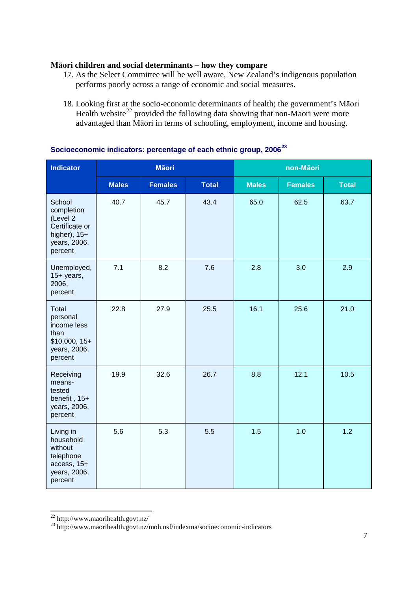## **Māori children and social determinants – how they compare**

- 17. As the Select Committee will be well aware, New Zealand's indigenous population performs poorly across a range of economic and social measures.
- 18. Looking first at the socio-economic determinants of health; the government's Māori Health website<sup>[22](#page-6-0)</sup> provided the following data showing that non-Maori were more advantaged than Māori in terms of schooling, employment, income and housing.

| <b>Indicator</b>                                                                                | <b>Māori</b> |                |              | non-Māori    |                |              |
|-------------------------------------------------------------------------------------------------|--------------|----------------|--------------|--------------|----------------|--------------|
|                                                                                                 | <b>Males</b> | <b>Females</b> | <b>Total</b> | <b>Males</b> | <b>Females</b> | <b>Total</b> |
| School<br>completion<br>(Level 2<br>Certificate or<br>higher), $15+$<br>years, 2006,<br>percent | 40.7         | 45.7           | 43.4         | 65.0         | 62.5           | 63.7         |
| Unemployed,<br>$15+$ years,<br>2006,<br>percent                                                 | 7.1          | 8.2            | 7.6          | 2.8          | 3.0            | 2.9          |
| Total<br>personal<br>income less<br>than<br>$$10,000, 15+$<br>years, 2006,<br>percent           | 22.8         | 27.9           | 25.5         | 16.1         | 25.6           | 21.0         |
| Receiving<br>means-<br>tested<br>benefit, 15+<br>years, 2006,<br>percent                        | 19.9         | 32.6           | 26.7         | 8.8          | 12.1           | 10.5         |
| Living in<br>household<br>without<br>telephone<br>access, 15+<br>years, 2006,<br>percent        | 5.6          | 5.3            | 5.5          | 1.5          | 1.0            | 1.2          |

## **Socioeconomic indicators: percentage of each ethnic group, 2006[23](#page-6-1)**

<span id="page-6-1"></span><span id="page-6-0"></span>

<sup>&</sup>lt;sup>22</sup> http://www.maorihealth.govt.nz/<br><sup>23</sup> http://www.maorihealth.govt.nz/moh.nsf/indexma/socioeconomic-indicators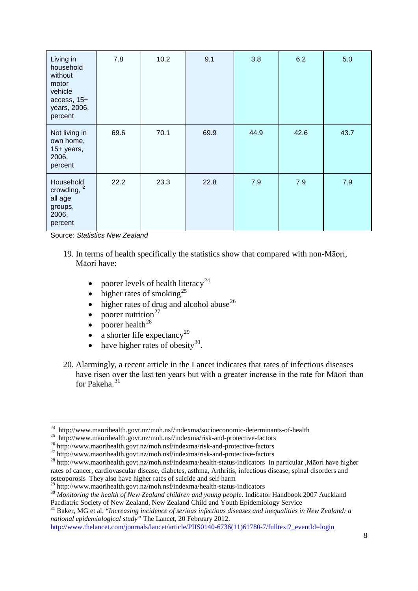| Living in<br>household<br>without<br>motor<br>vehicle<br>access, 15+<br>years, 2006,<br>percent | 7.8  | 10.2 | 9.1  | 3.8  | 6.2  | 5.0  |
|-------------------------------------------------------------------------------------------------|------|------|------|------|------|------|
| Not living in<br>own home,<br>$15+$ years,<br>2006,<br>percent                                  | 69.6 | 70.1 | 69.9 | 44.9 | 42.6 | 43.7 |
| Household<br>crowding, 2<br>all age<br>groups,<br>2006,<br>percent                              | 22.2 | 23.3 | 22.8 | 7.9  | 7.9  | 7.9  |

Source: *Statistics New Zealand*

- 19. In terms of health specifically the statistics show that compared with non-Māori, Māori have:
	- poorer levels of health literacy<sup>[24](#page-7-0)</sup>
	- $\bullet$  higher rates of smoking<sup>[25](#page-7-1)</sup>
	- higher rates of drug and alcohol abuse<sup>[26](#page-7-2)</sup>
	- poorer nutrition<sup>[27](#page-7-3)</sup>
	- poorer health<sup>[28](#page-7-4)</sup>
	- a shorter life expectancy<sup>[29](#page-7-5)</sup>
	- have higher rates of obesity<sup>[30](#page-7-6)</sup>.
- 20. Alarmingly, a recent article in the Lancet indicates that rates of infectious diseases have risen over the last ten years but with a greater increase in the rate for Māori than for Pakeha.<sup>[31](#page-7-7)</sup>

<span id="page-7-2"></span>

<span id="page-7-4"></span><span id="page-7-3"></span>

<span id="page-7-1"></span><span id="page-7-0"></span><sup>&</sup>lt;sup>24</sup> http://www.maorihealth.govt.nz/moh.nsf/indexma/socioeconomic-determinants-of-health<br><sup>25</sup> http://www.maorihealth.govt.nz/moh.nsf/indexma/risk-and-protective-factors<br><sup>26</sup> http://www.maorihealth.govt.nz/moh.nsf/indexma/ rates of cancer, cardiovascular disease, diabetes, asthma, Arthritis, infectious disease, spinal disorders and osteoporosis They also have higher rates of suicide and self harm<br><sup>29</sup> http://www.maorihealth.govt.nz/moh.nsf/indexma/health-status-indicators

<span id="page-7-6"></span><span id="page-7-5"></span><sup>&</sup>lt;sup>30</sup> Monitoring the health of New Zealand children and young people. Indicator Handbook 2007 Auckland Paediatric Society of New Zealand, New Zealand Child and Youth Epidemiology Service

<span id="page-7-7"></span><sup>&</sup>lt;sup>31</sup> Baker, MG et al, "*Increasing incidence of serious infectious diseases and inequalities in New Zealand: a national epidemiological study"* The Lancet, 20 February 2012.

[http://www.thelancet.com/journals/lancet/article/PIIS0140-6736\(11\)61780-7/fulltext?\\_eventId=login](http://www.thelancet.com/journals/lancet/article/PIIS0140-6736(11)61780-7/fulltext?_eventId=login)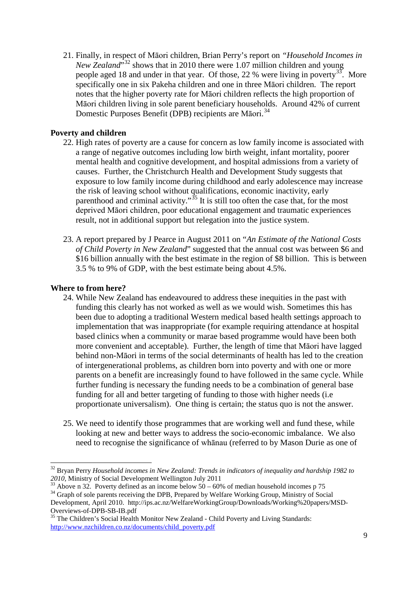21. Finally, in respect of Māori children, Brian Perry's report on *"Household Incomes in New Zealand*<sup>5[32](#page-8-0)</sup> shows that in 2010 there were 1.07 million children and young people aged 18 and under in that year. Of those, 22 % were living in poverty<sup>[33](#page-8-1)</sup>. More specifically one in six Pakeha children and one in three Māori children. The report notes that the higher poverty rate for Māori children reflects the high proportion of Māori children living in sole parent beneficiary households. Around 42% of current Domestic Purposes Benefit (DPB) recipients are Māori.<sup>[34](#page-8-2)</sup>

## **Poverty and children**

- 22. High rates of poverty are a cause for concern as low family income is associated with a range of negative outcomes including low birth weight, infant mortality, poorer mental health and cognitive development, and hospital admissions from a variety of causes. Further, the Christchurch Health and Development Study suggests that exposure to low family income during childhood and early adolescence may increase the risk of leaving school without qualifications, economic inactivity, early parenthood and criminal activity."<sup>[35](#page-8-3)</sup> It is still too often the case that, for the most deprived Māori children, poor educational engagement and traumatic experiences result, not in additional support but relegation into the justice system.
- 23. A report prepared by J Pearce in August 2011 on "*An Estimate of the National Costs of Child Poverty in New Zealand*" suggested that the annual cost was between \$6 and \$16 billion annually with the best estimate in the region of \$8 billion. This is between 3.5 % to 9% of GDP, with the best estimate being about 4.5%.

#### **Where to from here?**

- 24. While New Zealand has endeavoured to address these inequities in the past with funding this clearly has not worked as well as we would wish. Sometimes this has been due to adopting a traditional Western medical based health settings approach to implementation that was inappropriate (for example requiring attendance at hospital based clinics when a community or marae based programme would have been both more convenient and acceptable). Further, the length of time that Māori have lagged behind non-Māori in terms of the social determinants of health has led to the creation of intergenerational problems, as children born into poverty and with one or more parents on a benefit are increasingly found to have followed in the same cycle. While further funding is necessary the funding needs to be a combination of general base funding for all and better targeting of funding to those with higher needs (i.e proportionate universalism). One thing is certain; the status quo is not the answer.
- 25. We need to identify those programmes that are working well and fund these, while looking at new and better ways to address the socio-economic imbalance. We also need to recognise the significance of whānau (referred to by Mason Durie as one of

<span id="page-8-0"></span><sup>&</sup>lt;sup>32</sup> Bryan Perry *Household incomes in New Zealand: Trends in indicators of inequality and hardship 1982 to 2010, Ministry of Social Development Wellington July 2011* 

<span id="page-8-1"></span><sup>&</sup>lt;sup>33</sup> Above n 32. Poverty defined as an income below  $50 - 60\%$  of median household incomes p 75<br><sup>34</sup> Graph of sole parents receiving the DPB, Prepared by Welfare Working Group, Ministry of Social Development, April 2010. http://ips.ac.nz/WelfareWorkingGroup/Downloads/Working%20papers/MSD-

<span id="page-8-2"></span>Overviews-of-DPB-SB-IB.pdf<br>
<sup>35</sup> The Children's Social Health Monitor New Zealand - Child Poverty and Living Standards:

<span id="page-8-3"></span>[http://www.nzchildren.co.nz/documents/child\\_poverty.pdf](http://www.nzchildren.co.nz/documents/child_poverty.pdf)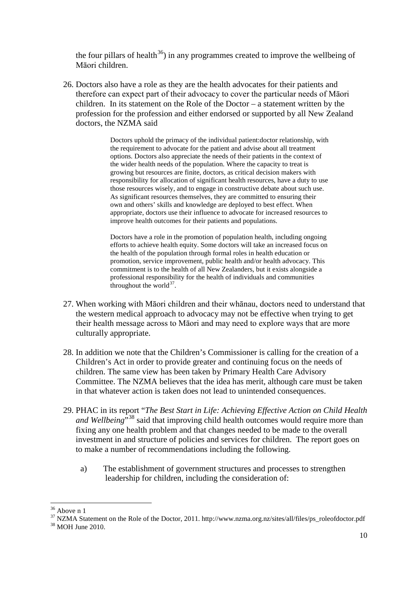the four pillars of health<sup>36</sup>) in any programmes created to improve the wellbeing of Māori children.

26. Doctors also have a role as they are the health advocates for their patients and therefore can expect part of their advocacy to cover the particular needs of Māori children. In its statement on the Role of the Doctor – a statement written by the profession for the profession and either endorsed or supported by all New Zealand doctors, the NZMA said

> Doctors uphold the primacy of the individual patient:doctor relationship, with the requirement to advocate for the patient and advise about all treatment options. Doctors also appreciate the needs of their patients in the context of the wider health needs of the population. Where the capacity to treat is growing but resources are finite, doctors, as critical decision makers with responsibility for allocation of significant health resources, have a duty to use those resources wisely, and to engage in constructive debate about such use. As significant resources themselves, they are committed to ensuring their own and others' skills and knowledge are deployed to best effect. When appropriate, doctors use their influence to advocate for increased resources to improve health outcomes for their patients and populations.

> Doctors have a role in the promotion of population health, including ongoing efforts to achieve health equity. Some doctors will take an increased focus on the health of the population through formal roles in health education or promotion, service improvement, public health and/or health advocacy. This commitment is to the health of all New Zealanders, but it exists alongside a professional responsibility for the health of individuals and communities throughout the world $37$ .

- 27. When working with Māori children and their whānau, doctors need to understand that the western medical approach to advocacy may not be effective when trying to get their health message across to Māori and may need to explore ways that are more culturally appropriate.
- 28. In addition we note that the Children's Commissioner is calling for the creation of a Children's Act in order to provide greater and continuing focus on the needs of children. The same view has been taken by Primary Health Care Advisory Committee. The NZMA believes that the idea has merit, although care must be taken in that whatever action is taken does not lead to unintended consequences.
- 29. PHAC in its report "*The Best Start in Life: Achieving Effective Action on Child Health and Wellbeing*<sup>"[38](#page-9-2)</sup> said that improving child health outcomes would require more than fixing any one health problem and that changes needed to be made to the overall investment in and structure of policies and services for children. The report goes on to make a number of recommendations including the following.
	- a) The establishment of government structures and processes to strengthen leadership for children, including the consideration of:

<span id="page-9-1"></span><span id="page-9-0"></span><sup>&</sup>lt;sup>36</sup> Above n 1<br><sup>37</sup> NZMA Statement on the Role of the Doctor, 2011. [http://www.nzma.org.nz/sites/all/files/ps\\_roleofdoctor.pdf](http://www.nzma.org.nz/sites/all/files/ps_roleofdoctor.pdf)<br><sup>38</sup> MOH June 2010.

<span id="page-9-2"></span>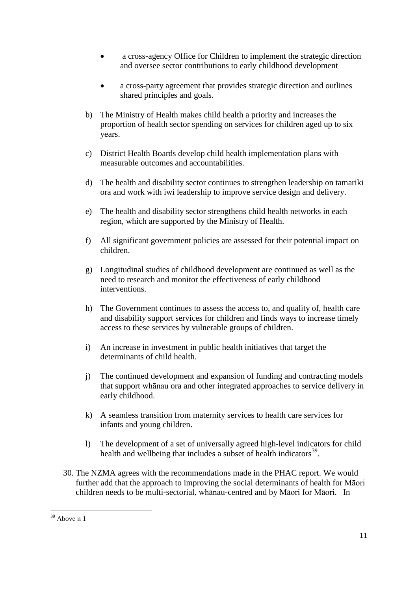- a cross-agency Office for Children to implement the strategic direction and oversee sector contributions to early childhood development
- a cross-party agreement that provides strategic direction and outlines shared principles and goals.
- b) The Ministry of Health makes child health a priority and increases the proportion of health sector spending on services for children aged up to six years.
- c) District Health Boards develop child health implementation plans with measurable outcomes and accountabilities.
- d) The health and disability sector continues to strengthen leadership on tamariki ora and work with iwi leadership to improve service design and delivery.
- e) The health and disability sector strengthens child health networks in each region, which are supported by the Ministry of Health.
- f) All significant government policies are assessed for their potential impact on children.
- g) Longitudinal studies of childhood development are continued as well as the need to research and monitor the effectiveness of early childhood interventions.
- h) The Government continues to assess the access to, and quality of, health care and disability support services for children and finds ways to increase timely access to these services by vulnerable groups of children.
- i) An increase in investment in public health initiatives that target the determinants of child health.
- j) The continued development and expansion of funding and contracting models that support whānau ora and other integrated approaches to service delivery in early childhood.
- k) A seamless transition from maternity services to health care services for infants and young children.
- l) The development of a set of universally agreed high-level indicators for child health and wellbeing that includes a subset of health indicators<sup>39</sup>.
- 30. The NZMA agrees with the recommendations made in the PHAC report. We would further add that the approach to improving the social determinants of health for Māori children needs to be multi-sectorial, whānau-centred and by Māori for Māori. In

<span id="page-10-0"></span> $\overline{\phantom{a}}$  $39$  Above n 1